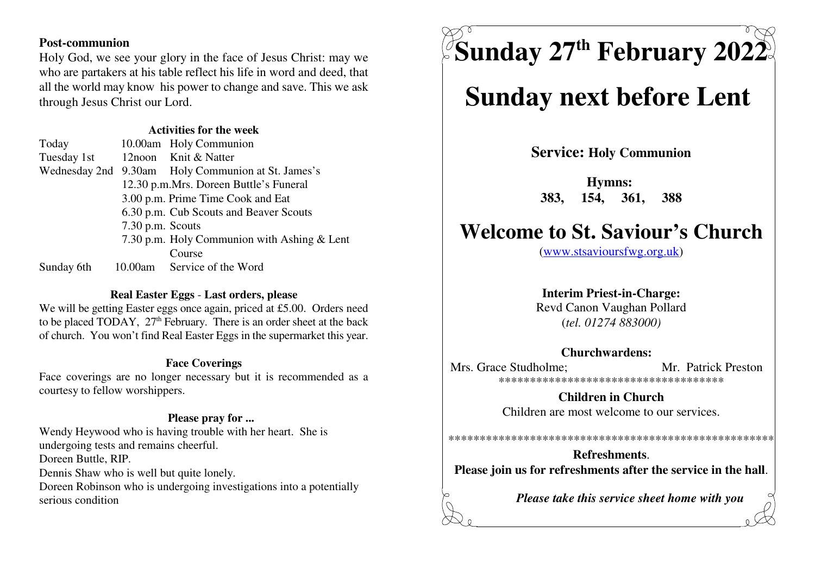#### **Post-communion**

 Holy God, we see your glory in the face of Jesus Christ: may we who are partakers at his table reflect his life in word and deed, that all the world may know his power to change and save. This we askthrough Jesus Christ our Lord.

#### **Activities for the week**

| Today       |                  | 10.00am Holy Communion                             |
|-------------|------------------|----------------------------------------------------|
| Tuesday 1st |                  | 12noon Knit & Natter                               |
|             |                  | Wednesday 2nd 9.30am Holy Communion at St. James's |
|             |                  | 12.30 p.m.Mrs. Doreen Buttle's Funeral             |
|             |                  | 3.00 p.m. Prime Time Cook and Eat                  |
|             |                  | 6.30 p.m. Cub Scouts and Beaver Scouts             |
|             | 7.30 p.m. Scouts |                                                    |
|             |                  | 7.30 p.m. Holy Communion with Ashing & Lent        |
|             |                  | Course                                             |
| Sunday 6th  |                  | 10.00am Service of the Word                        |

#### **Real Easter Eggs** - **Last orders, please**

 We will be getting Easter eggs once again, priced at £5.00. Orders needto be placed TODAY,  $27<sup>th</sup>$  February. There is an order sheet at the back of church. You won't find Real Easter Eggs in the supermarket this year.

#### **Face Coverings**

 Face coverings are no longer necessary but it is recommended as acourtesy to fellow worshippers.

#### **Please pray for ...**

 Wendy Heywood who is having trouble with her heart. She isundergoing tests and remains cheerful.Doreen Buttle, RIP. Dennis Shaw who is well but quite lonely. Doreen Robinson who is undergoing investigations into a potentiallyserious condition

 $\boldsymbol{\mathrm{S}}$ unday 27<sup>th</sup> February 2022

# **Sunday next before Lent**

**Service: Holy Communion**

**Hymns: 383, 154, 361, 388**

## **Welcome to St. Saviour's Church**

(www.stsavioursfwg.org.uk)

#### **Interim Priest-in-Charge:**

 Revd Canon Vaughan Pollard(*tel. 01274 883000)*

#### **Churchwardens:**

Mrs. Grace Studholme: Mr. Patrick Preston \*\*\*\*\*\*\*\*\*\*\*\*\*\*\*\*\*\*\*\*\*\*\*\*\*\*\*\*\*\*\*\*\*\*\*\*

> **Children in Church**Children are most welcome to our services.

**Refreshments**.**Please join us for refreshments after the service in the hall**.

\*\*\*\*\*\*\*\*\*\*\*\*\*\*\*\*\*\*\*\*\*\*\*\*\*\*\*\*\*\*\*\*\*\*\*\*\*\*\*\*\*\*\*\*\*\*\*\*\*\*\*\*

*Please take this service sheet home with you*